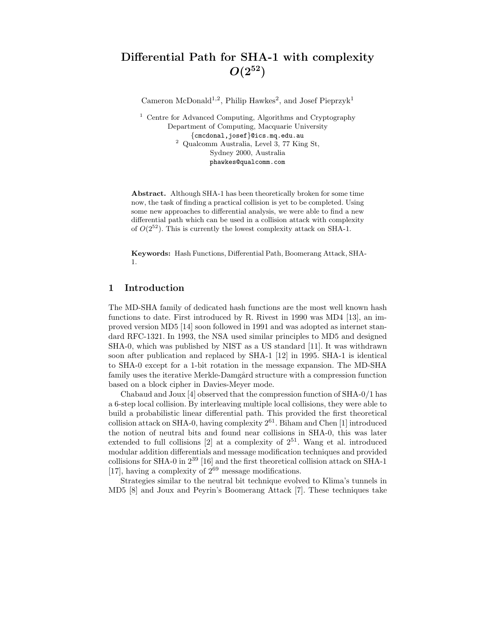# Differential Path for SHA-1 with complexity  $O(2^{52})$

Cameron McDonald<sup>1,2</sup>, Philip Hawkes<sup>2</sup>, and Josef Pieprzyk<sup>1</sup>

<sup>1</sup> Centre for Advanced Computing, Algorithms and Cryptography Department of Computing, Macquarie University {cmcdonal,josef}@ics.mq.edu.au <sup>2</sup> Qualcomm Australia, Level 3, 77 King St, Sydney 2000, Australia phawkes@qualcomm.com

Abstract. Although SHA-1 has been theoretically broken for some time now, the task of finding a practical collision is yet to be completed. Using some new approaches to differential analysis, we were able to find a new differential path which can be used in a collision attack with complexity of  $O(2^{52})$ . This is currently the lowest complexity attack on SHA-1.

Keywords: Hash Functions, Differential Path, Boomerang Attack, SHA-1.

### 1 Introduction

The MD-SHA family of dedicated hash functions are the most well known hash functions to date. First introduced by R. Rivest in 1990 was MD4 [13], an improved version MD5 [14] soon followed in 1991 and was adopted as internet standard RFC-1321. In 1993, the NSA used similar principles to MD5 and designed SHA-0, which was published by NIST as a US standard [11]. It was withdrawn soon after publication and replaced by SHA-1 [12] in 1995. SHA-1 is identical to SHA-0 except for a 1-bit rotation in the message expansion. The MD-SHA family uses the iterative Merkle-Damgård structure with a compression function based on a block cipher in Davies-Meyer mode.

Chabaud and Joux  $[4]$  observed that the compression function of  $SHA-0/1$  has a 6-step local collision. By interleaving multiple local collisions, they were able to build a probabilistic linear differential path. This provided the first theoretical collision attack on SHA-0, having complexity  $2^{61}$ . Biham and Chen [1] introduced the notion of neutral bits and found near collisions in SHA-0, this was later extended to full collisions  $[2]$  at a complexity of  $2^{51}$ . Wang et al. introduced modular addition differentials and message modification techniques and provided collisions for SHA-0 in 2<sup>39</sup> [16] and the first theoretical collision attack on SHA-1 [17], having a complexity of  $2^{69}$  message modifications.

Strategies similar to the neutral bit technique evolved to Klima's tunnels in MD5 [8] and Joux and Peyrin's Boomerang Attack [7]. These techniques take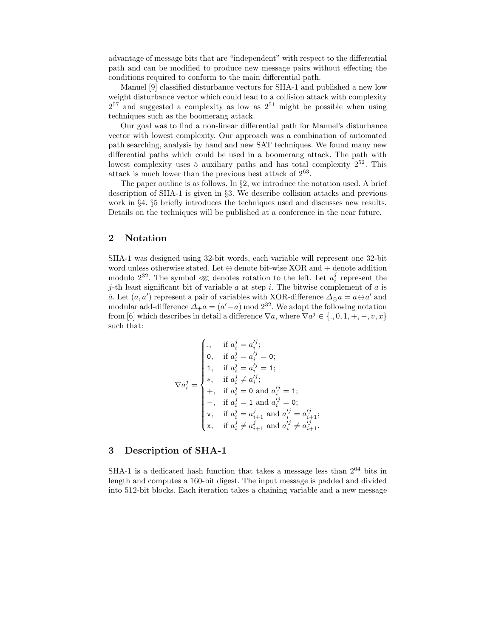advantage of message bits that are "independent" with respect to the differential path and can be modified to produce new message pairs without effecting the conditions required to conform to the main differential path.

Manuel [9] classified disturbance vectors for SHA-1 and published a new low weight disturbance vector which could lead to a collision attack with complexity  $2^{57}$  and suggested a complexity as low as  $2^{51}$  might be possible when using techniques such as the boomerang attack.

Our goal was to find a non-linear differential path for Manuel's disturbance vector with lowest complexity. Our approach was a combination of automated path searching, analysis by hand and new SAT techniques. We found many new differential paths which could be used in a boomerang attack. The path with lowest complexity uses 5 auxiliary paths and has total complexity  $2^{52}$ . This attack is much lower than the previous best attack of  $2^{63}$ .

The paper outline is as follows. In §2, we introduce the notation used. A brief description of SHA-1 is given in §3. We describe collision attacks and previous work in §4. §5 briefly introduces the techniques used and discusses new results. Details on the techniques will be published at a conference in the near future.

### 2 Notation

SHA-1 was designed using 32-bit words, each variable will represent one 32-bit word unless otherwise stated. Let  $\oplus$  denote bit-wise XOR and + denote addition modulo  $2^{32}$ . The symbol ≪ denotes rotation to the left. Let  $a_i^j$  represent the j-th least significant bit of variable  $a$  at step  $i$ . The bitwise complement of  $a$  is  $\bar{a}$ . Let  $(a, a')$  represent a pair of variables with XOR-difference  $\Delta_{\oplus} a = a \oplus a'$  and modular add-difference  $\Delta_+ a = (a'-a) \mod 2^{32}$ . We adopt the following notation from [6] which describes in detail a difference  $\nabla a$ , where  $\nabla a^j \in \{.,0,1,+,-,v,x\}$ such that:

$$
\nabla a_i^j = \begin{cases}\n\cdot, & \text{if } a_i^j = a_i'^j; \\
0, & \text{if } a_i^j = a_i'^j = 0; \\
1, & \text{if } a_i^j = a_i'^j = 1; \\
*, & \text{if } a_i^j \neq a_i'^j; \\
+, & \text{if } a_i^j = 0 \text{ and } a_i'^j = 1; \\
-, & \text{if } a_i^j = 1 \text{ and } a_i'^j = 0; \\
\text{v}, & \text{if } a_i^j = a_{i+1}^j \text{ and } a_i'^j = a_{i+1}'^j; \\
\text{x}, & \text{if } a_i^j \neq a_{i+1}^j \text{ and } a_i'^j \neq a_{i+1}'^j.\n\end{cases}
$$

### 3 Description of SHA-1

SHA-1 is a dedicated hash function that takes a message less than  $2^{64}$  bits in length and computes a 160-bit digest. The input message is padded and divided into 512-bit blocks. Each iteration takes a chaining variable and a new message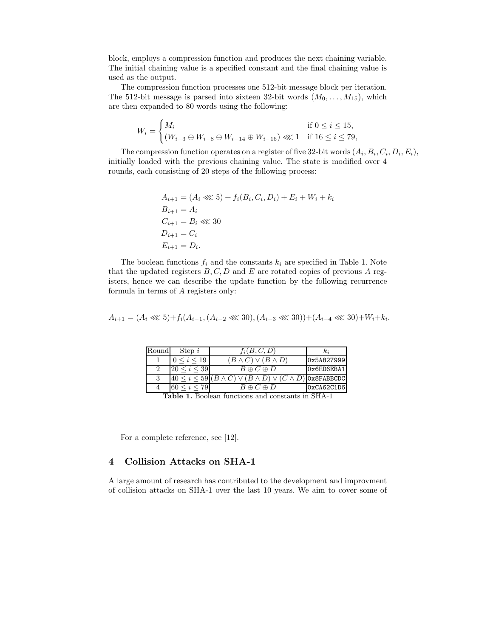block, employs a compression function and produces the next chaining variable. The initial chaining value is a specified constant and the final chaining value is used as the output.

The compression function processes one 512-bit message block per iteration. The 512-bit message is parsed into sixteen 32-bit words  $(M_0, \ldots, M_{15})$ , which are then expanded to 80 words using the following:

$$
W_i = \begin{cases} M_i & \text{if } 0 \le i \le 15, \\ (W_{i-3} \oplus W_{i-8} \oplus W_{i-14} \oplus W_{i-16}) \lll 1 & \text{if } 16 \le i \le 79, \end{cases}
$$

The compression function operates on a register of five 32-bit words  $(A_i, B_i, C_i, D_i, E_i)$ , initially loaded with the previous chaining value. The state is modified over 4 rounds, each consisting of 20 steps of the following process:

$$
A_{i+1} = (A_i \ll 5) + f_i(B_i, C_i, D_i) + E_i + W_i + k_i
$$
  
\n
$$
B_{i+1} = A_i
$$
  
\n
$$
C_{i+1} = B_i \ll 30
$$
  
\n
$$
D_{i+1} = C_i
$$
  
\n
$$
E_{i+1} = D_i.
$$

The boolean functions  $f_i$  and the constants  $k_i$  are specified in Table 1. Note that the updated registers  $B, C, D$  and  $E$  are rotated copies of previous  $A$  registers, hence we can describe the update function by the following recurrence formula in terms of A registers only:

$$
A_{i+1} = (A_i \lll 5) + f_i(A_{i-1}, (A_{i-2} \lll 30), (A_{i-3} \lll 30)) + (A_{i-4} \lll 30) + W_i + k_i.
$$

| Round                                                                | Step $i$            | $f_i(B,C,D)$                                                                      | $\kappa_i$ |  |  |  |
|----------------------------------------------------------------------|---------------------|-----------------------------------------------------------------------------------|------------|--|--|--|
|                                                                      | 0 < i < 19          | $(B \wedge C) \vee (\bar{B} \wedge D)$                                            | 0x5A827999 |  |  |  |
| $\Omega$                                                             | $20 \le i \le 39$   | $B \oplus C \oplus D$                                                             | Ox6ED6EBA1 |  |  |  |
|                                                                      |                     | $40 \leq i \leq 59$ $(B \wedge C) \vee (B \wedge D) \vee (C \wedge D)$ ox8FABBCDC |            |  |  |  |
|                                                                      | $60 \leq i \leq 79$ | $B \oplus C \oplus D$                                                             | 0xCA62C1D6 |  |  |  |
| Decleam functions and constants in CIIA<br>$T_{\rm b}$ $L_{\rm b}$ 1 |                     |                                                                                   |            |  |  |  |

Table 1. Boolean functions and constants in SHA-1

For a complete reference, see [12].

## 4 Collision Attacks on SHA-1

A large amount of research has contributed to the development and improvment of collision attacks on SHA-1 over the last 10 years. We aim to cover some of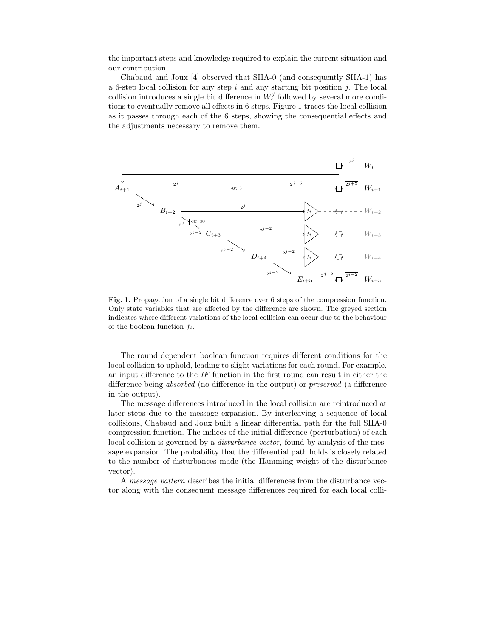the important steps and knowledge required to explain the current situation and our contribution.

Chabaud and Joux [4] observed that SHA-0 (and consequently SHA-1) has a 6-step local collision for any step  $i$  and any starting bit position  $j$ . The local collision introduces a single bit difference in  $W_i^j$  followed by several more conditions to eventually remove all effects in 6 steps. Figure 1 traces the local collision as it passes through each of the 6 steps, showing the consequential effects and the adjustments necessary to remove them.



Fig. 1. Propagation of a single bit difference over 6 steps of the compression function. Only state variables that are affected by the difference are shown. The greyed section indicates where different variations of the local collision can occur due to the behaviour of the boolean function  $f_i$ .

The round dependent boolean function requires different conditions for the local collision to uphold, leading to slight variations for each round. For example, an input difference to the IF function in the first round can result in either the difference being absorbed (no difference in the output) or preserved (a difference in the output).

The message differences introduced in the local collision are reintroduced at later steps due to the message expansion. By interleaving a sequence of local collisions, Chabaud and Joux built a linear differential path for the full SHA-0 compression function. The indices of the initial difference (perturbation) of each local collision is governed by a *disturbance vector*, found by analysis of the message expansion. The probability that the differential path holds is closely related to the number of disturbances made (the Hamming weight of the disturbance vector).

A message pattern describes the initial differences from the disturbance vector along with the consequent message differences required for each local colli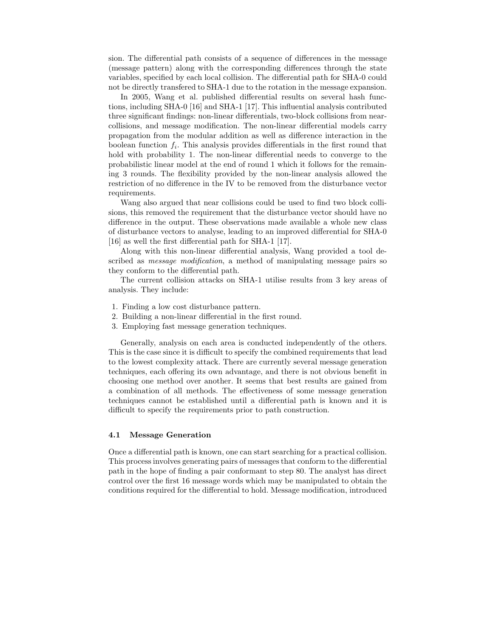sion. The differential path consists of a sequence of differences in the message (message pattern) along with the corresponding differences through the state variables, specified by each local collision. The differential path for SHA-0 could not be directly transfered to SHA-1 due to the rotation in the message expansion.

In 2005, Wang et al. published differential results on several hash functions, including SHA-0 [16] and SHA-1 [17]. This influential analysis contributed three significant findings: non-linear differentials, two-block collisions from nearcollisions, and message modification. The non-linear differential models carry propagation from the modular addition as well as difference interaction in the boolean function  $f_i$ . This analysis provides differentials in the first round that hold with probability 1. The non-linear differential needs to converge to the probabilistic linear model at the end of round 1 which it follows for the remaining 3 rounds. The flexibility provided by the non-linear analysis allowed the restriction of no difference in the IV to be removed from the disturbance vector requirements.

Wang also argued that near collisions could be used to find two block collisions, this removed the requirement that the disturbance vector should have no difference in the output. These observations made available a whole new class of disturbance vectors to analyse, leading to an improved differential for SHA-0 [16] as well the first differential path for SHA-1 [17].

Along with this non-linear differential analysis, Wang provided a tool described as *message modification*, a method of manipulating message pairs so they conform to the differential path.

The current collision attacks on SHA-1 utilise results from 3 key areas of analysis. They include:

- 1. Finding a low cost disturbance pattern.
- 2. Building a non-linear differential in the first round.
- 3. Employing fast message generation techniques.

Generally, analysis on each area is conducted independently of the others. This is the case since it is difficult to specify the combined requirements that lead to the lowest complexity attack. There are currently several message generation techniques, each offering its own advantage, and there is not obvious benefit in choosing one method over another. It seems that best results are gained from a combination of all methods. The effectiveness of some message generation techniques cannot be established until a differential path is known and it is difficult to specify the requirements prior to path construction.

#### 4.1 Message Generation

Once a differential path is known, one can start searching for a practical collision. This process involves generating pairs of messages that conform to the differential path in the hope of finding a pair conformant to step 80. The analyst has direct control over the first 16 message words which may be manipulated to obtain the conditions required for the differential to hold. Message modification, introduced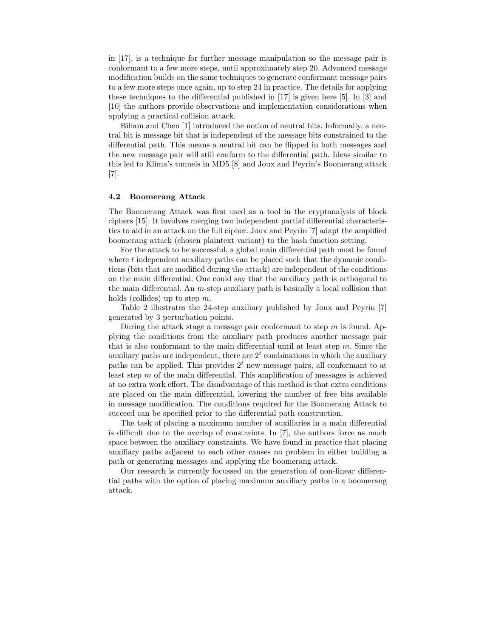in [17], is a technique for further message manipulation so the message pair is conformant to a few more steps, until approximately step 20. Advanced message modification builds on the same techniques to generate conformant message pairs to a few more steps once again, up to step 24 in practice. The details for applying these techniques to the differential published in [17] is given here [5]. In [3] and [10] the authors provide observations and implementation considerations when applying a practical collision attack.

Biham and Chen [1] introduced the notion of neutral bits. Informally, a neutral bit is message bit that is independent of the message bits constrained to the differential path. This means a neutral bit can be flipped in both messages and the new message pair will still conform to the differential path. Ideas similar to this led to Klima's tunnels in MD5 [8] and Joux and Peyrin's Boomerang attack [7].

### 4.2 Boomerang Attack

The Boomerang Attack was first used as a tool in the cryptanalysis of block ciphers [15]. It involves merging two independent partial differential characteristics to aid in an attack on the full cipher. Joux and Peyrin [7] adapt the amplified boomerang attack (chosen plaintext variant) to the hash function setting.

For the attack to be successful, a global main differential path must be found where  $t$  independent auxiliary paths can be placed such that the dynamic conditions (bits that are modified during the attack) are independent of the conditions on the main differential. One could say that the auxiliary path is orthogonal to the main differential. An  $m$ -step auxiliary path is basically a local collision that holds (collides) up to step  $m$ .

Table 2 illustrates the 24-step auxiliary published by Joux and Peyrin [7] generated by 3 perturbation points.

During the attack stage a message pair conformant to step  $m$  is found. Applying the conditions from the auxiliary path produces another message pair that is also conformant to the main differential until at least step  $m$ . Since the auxiliary paths are independent, there are  $2<sup>t</sup>$  combinations in which the auxiliary paths can be applied. This provides  $2<sup>t</sup>$  new message pairs, all conformant to at least step  $m$  of the main differential. This amplification of messages is achieved at no extra work effort. The disadvantage of this method is that extra conditions are placed on the main differential, lowering the number of free bits available in message modification. The conditions required for the Boomerang Attack to succeed can be specified prior to the differential path construction.

The task of placing a maximum number of auxiliaries in a main differential is difficult due to the overlap of constraints. In [7], the authors force as much space between the auxiliary constraints. We have found in practice that placing auxiliary paths adjacent to each other causes no problem in either building a path or generating messages and applying the boomerang attack.

Our research is currently focussed on the generation of non-linear differential paths with the option of placing maximum auxiliary paths in a boomerang attack.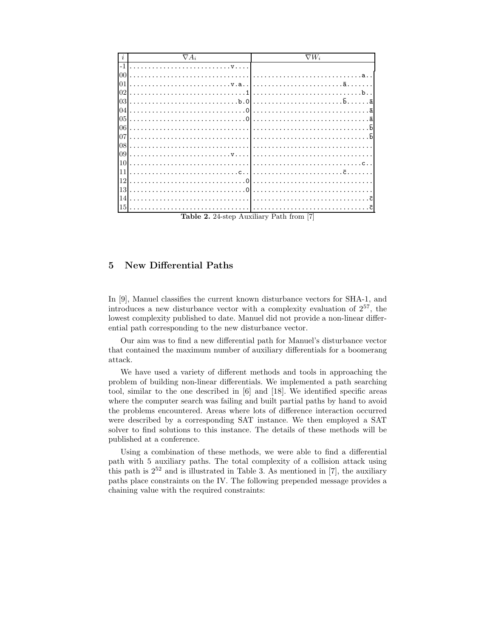| $\boldsymbol{\eta}$ | $\nabla A_i$ | $\nabla W_i$                 |
|---------------------|--------------|------------------------------|
| $-1$                | . V          |                              |
| 00                  |              | a <sub>1</sub>               |
| 01                  |              |                              |
| 02                  |              | $h$ .                        |
| 03                  |              | . <del>b</del> .<br>. ā<br>. |
| 04                  |              |                              |
| 05                  |              |                              |
| 06                  |              | $\bar{b}$                    |
| 07                  |              |                              |
| 08                  |              |                              |
|                     |              |                              |
| 10                  |              |                              |
| 11                  |              |                              |
| 12                  |              |                              |
| 13                  |              |                              |
| 14                  |              | - 7                          |
| 15                  |              |                              |

Table 2. 24-step Auxiliary Path from [7]

#### $\overline{5}$ **New Differential Paths**

In [9], Manuel classifies the current known disturbance vectors for SHA-1, and introduces a new disturbance vector with a complexity evaluation of  $2^{57}$ , the lowest complexity published to date. Manuel did not provide a non-linear differential path corresponding to the new disturbance vector.

Our aim was to find a new differential path for Manuel's disturbance vector that contained the maximum number of auxiliary differentials for a boomerang attack.

We have used a variety of different methods and tools in approaching the problem of building non-linear differentials. We implemented a path searching tool, similar to the one described in [6] and [18]. We identified specific areas where the computer search was failing and built partial paths by hand to avoid the problems encountered. Areas where lots of difference interaction occurred were described by a corresponding SAT instance. We then employed a SAT solver to find solutions to this instance. The details of these methods will be published at a conference.

Using a combination of these methods, we were able to find a differential path with 5 auxiliary paths. The total complexity of a collision attack using this path is  $2^{52}$  and is illustrated in Table 3. As mentioned in [7], the auxiliary paths place constraints on the IV. The following prepended message provides a chaining value with the required constraints: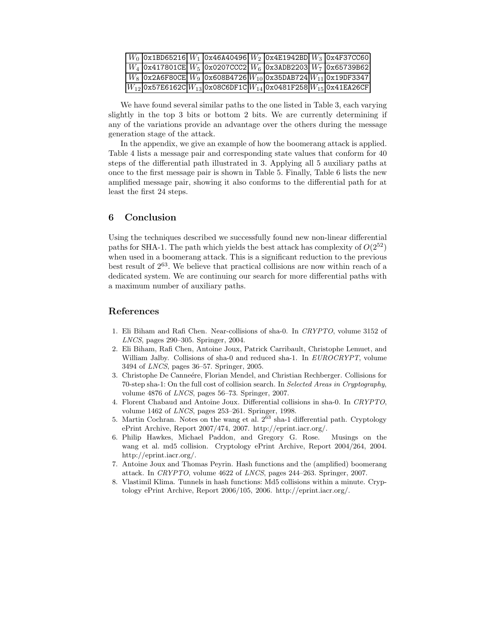|                                                                                         |  |  | $ W_0 $ 0x1BD65216 $ W_1 $ 0x46A40496 $ W_2 $ 0x4E1942BD $ W_3 $ 0x4F37CC60 |
|-----------------------------------------------------------------------------------------|--|--|-----------------------------------------------------------------------------|
| $W_4$   0x417801CE   $W_5$   0x0207CCC2   $W_6$   0x3ADB2203   $W_7$   0x65739B62       |  |  |                                                                             |
| $ W_8 $ 0x2A6F80CE $ W_9 $ 0x608B4726 $ W_{10} $ 0x35DAB724 $ W_{11} $ 0x19DF3347       |  |  |                                                                             |
| $ W_{12} $ 0x57E6162C $ W_{13} $ 0x08C6DF1C $ W_{14} $ 0x0481F258 $ W_{15} $ 0x41EA26CF |  |  |                                                                             |

We have found several similar paths to the one listed in Table 3, each varying slightly in the top 3 bits or bottom 2 bits. We are currently determining if any of the variations provide an advantage over the others during the message generation stage of the attack.

In the appendix, we give an example of how the boomerang attack is applied. Table 4 lists a message pair and corresponding state values that conform for 40 steps of the differential path illustrated in 3. Applying all 5 auxiliary paths at once to the first message pair is shown in Table 5. Finally, Table 6 lists the new amplified message pair, showing it also conforms to the differential path for at least the first 24 steps.

### 6 Conclusion

Using the techniques described we successfully found new non-linear differential paths for SHA-1. The path which yields the best attack has complexity of  $O(2^{52})$ when used in a boomerang attack. This is a significant reduction to the previous best result of 2<sup>63</sup>. We believe that practical collisions are now within reach of a dedicated system. We are continuing our search for more differential paths with a maximum number of auxiliary paths.

### References

- 1. Eli Biham and Rafi Chen. Near-collisions of sha-0. In CRYPTO, volume 3152 of LNCS, pages 290–305. Springer, 2004.
- 2. Eli Biham, Rafi Chen, Antoine Joux, Patrick Carribault, Christophe Lemuet, and William Jalby. Collisions of sha-0 and reduced sha-1. In EUROCRYPT, volume 3494 of LNCS, pages 36–57. Springer, 2005.
- 3. Christophe De Canneére, Florian Mendel, and Christian Rechberger. Collisions for 70-step sha-1: On the full cost of collision search. In Selected Areas in Cryptography, volume 4876 of LNCS, pages 56–73. Springer, 2007.
- 4. Florent Chabaud and Antoine Joux. Differential collisions in sha-0. In CRYPTO, volume 1462 of LNCS, pages 253–261. Springer, 1998.
- 5. Martin Cochran. Notes on the wang et al.  $2^{63}$  sha-1 differential path. Cryptology ePrint Archive, Report 2007/474, 2007. http://eprint.iacr.org/.
- 6. Philip Hawkes, Michael Paddon, and Gregory G. Rose. Musings on the wang et al. md5 collision. Cryptology ePrint Archive, Report 2004/264, 2004. http://eprint.iacr.org/.
- 7. Antoine Joux and Thomas Peyrin. Hash functions and the (amplified) boomerang attack. In CRYPTO, volume 4622 of LNCS, pages 244–263. Springer, 2007.
- 8. Vlastimil Klima. Tunnels in hash functions: Md5 collisions within a minute. Cryptology ePrint Archive, Report 2006/105, 2006. http://eprint.iacr.org/.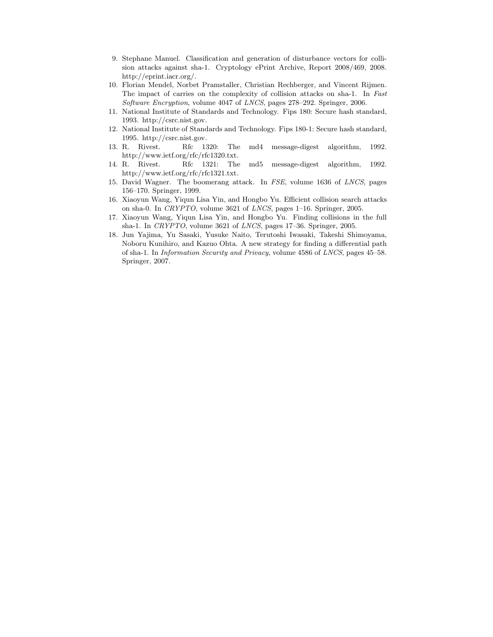- 9. Stephane Manuel. Classification and generation of disturbance vectors for collision attacks against sha-1. Cryptology ePrint Archive, Report 2008/469, 2008. http://eprint.iacr.org/.
- 10. Florian Mendel, Norbet Pramstaller, Christian Rechberger, and Vincent Rijmen. The impact of carries on the complexity of collision attacks on sha-1. In Fast Software Encryption, volume 4047 of LNCS, pages 278–292. Springer, 2006.
- 11. National Institute of Standards and Technology. Fips 180: Secure hash standard, 1993. http://csrc.nist.gov.
- 12. National Institute of Standards and Technology. Fips 180-1: Secure hash standard, 1995. http://csrc.nist.gov.
- 13. R. Rivest. Rfc 1320: The md4 message-digest algorithm, 1992. http://www.ietf.org/rfc/rfc1320.txt.
- 14. R. Rivest. Rfc 1321: The md5 message-digest algorithm, 1992. http://www.ietf.org/rfc/rfc1321.txt.
- 15. David Wagner. The boomerang attack. In FSE, volume 1636 of LNCS, pages 156–170. Springer, 1999.
- 16. Xiaoyun Wang, Yiqun Lisa Yin, and Hongbo Yu. Efficient collision search attacks on sha-0. In CRYPTO, volume 3621 of LNCS, pages 1–16. Springer, 2005.
- 17. Xiaoyun Wang, Yiqun Lisa Yin, and Hongbo Yu. Finding collisions in the full sha-1. In CRYPTO, volume 3621 of LNCS, pages 17–36. Springer, 2005.
- 18. Jun Yajima, Yu Sasaki, Yusuke Naito, Terutoshi Iwasaki, Takeshi Shimoyama, Noboru Kunihiro, and Kazuo Ohta. A new strategy for finding a differential path of sha-1. In Information Security and Privacy, volume 4586 of LNCS, pages 45–58. Springer, 2007.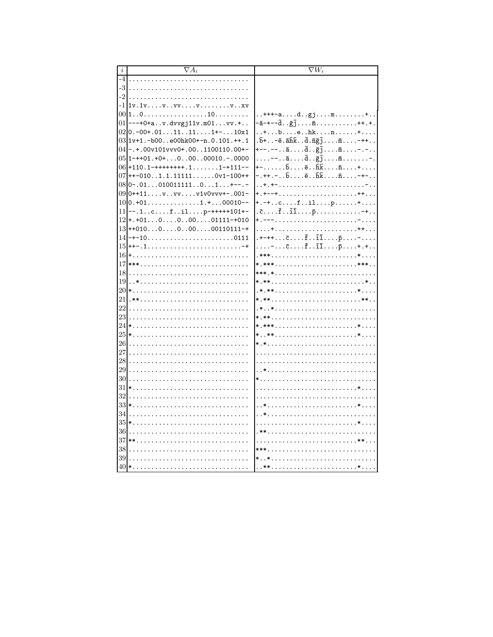|          | $\nabla A_i$                                                 | $\nabla W_i$                                                                                                                                  |
|----------|--------------------------------------------------------------|-----------------------------------------------------------------------------------------------------------------------------------------------|
| $-4$     |                                                              |                                                                                                                                               |
| -3       | .                                                            |                                                                                                                                               |
| -2       |                                                              |                                                                                                                                               |
|          | $-11v.1vvv$                                                  |                                                                                                                                               |
| 00       | 1010                                                         | $$ +++-ad.gjm+                                                                                                                                |
| 01       | $---+0+av.$ dvvgj11v.m01vv. +                                | $-\bar{a}$ -+-- $\bar{d}$ $\bar{g}$ ; $\bar{m}$ ++.+.                                                                                         |
|          | $02 0. -00+.0111111+-10x1$                                   | $\dots$ +behkn+                                                                                                                               |
|          | $03 1v+1.-b00e00hk00+-n.0.101.++.1$                          | $.\bar{b}$ +- $\bar{e}.\bar{a}\bar{h}\bar{k}.\bar{d}.\bar{n}\bar{g}\bar{j}.\ldots\bar{m}.\ldots$ -++                                          |
|          | $04$ - $\cdot$ + $.00v101vvv0+0.0000110000+$                 | +--.--ād <sub>g</sub> ījm-.-                                                                                                                  |
|          | $05 1-++01.+0+0.00.00010-00000$                              | $\ldots$ . --. . $\bar{a}$ . $\bar{d}$ . . $\bar{g}$ $\bar{j}$ . $\bar{m}$ . -.                                                               |
|          | $06+110.1-$ ++++++++.11-+111--                               | $- \ldots \ldots \bar{b} \ldots \bar{e} \ldots \bar{h} \bar{k} \ldots \bar{n} \ldots \ldots + \ldots.$<br>- . ++ . - b ē hk <del>n</del> - +- |
|          | $07$ + + -0101.1.111110v1-100++<br>$08 0-.0101001111101+--$  |                                                                                                                                               |
|          | $09 0+11vvv1v0vv+-.001-$                                     |                                                                                                                                               |
| 10       | $0. +01.$ 1.+00010--                                         | $+,-+$ filp+                                                                                                                                  |
| 11       | $--.1cfilp-***+101+-$                                        | $.\bar{c}$ $.\bar{f}$ $\bar{i}\bar{1}$ $\bar{p}$ -+                                                                                           |
|          | $12 + . +01 \ldots 0 \ldots 0 \ldots 00 \ldots 01111 - +010$ | +.---                                                                                                                                         |
|          | $13++010000000110111-+$                                      |                                                                                                                                               |
|          | $14$ -+-100111                                               | . +-++ $\bar{c}$ $\bar{f}$ $\bar{1}\bar{1}$ $\bar{p}$ -                                                                                       |
|          |                                                              | $\ldots$ = $\ldots$ $\bar{c}$ $\ldots$ $\bar{f}$ $\ldots$ $\bar{1}$ $\ldots$ $\bar{p}$ $\ldots$ + $\ldots$ + $\ldots$                         |
|          |                                                              |                                                                                                                                               |
| 17       |                                                              |                                                                                                                                               |
| 18       |                                                              | ***.*                                                                                                                                         |
| 19       |                                                              | *.***                                                                                                                                         |
| 20       | *                                                            | .*.**                                                                                                                                         |
| 21       |                                                              | *.****                                                                                                                                        |
| 22       |                                                              |                                                                                                                                               |
| 23       |                                                              |                                                                                                                                               |
|          |                                                              | *.****                                                                                                                                        |
|          |                                                              | ***                                                                                                                                           |
| 26       |                                                              | *.*                                                                                                                                           |
| 27       |                                                              |                                                                                                                                               |
| 28       |                                                              |                                                                                                                                               |
| 29<br>30 |                                                              |                                                                                                                                               |
|          |                                                              |                                                                                                                                               |
| 31<br>32 |                                                              |                                                                                                                                               |
| 33       |                                                              |                                                                                                                                               |
| 34       |                                                              |                                                                                                                                               |
| 35       |                                                              |                                                                                                                                               |
| 36       |                                                              |                                                                                                                                               |
|          |                                                              |                                                                                                                                               |
| 38       |                                                              | $***$                                                                                                                                         |
| 39       |                                                              | **                                                                                                                                            |
|          |                                                              | **                                                                                                                                            |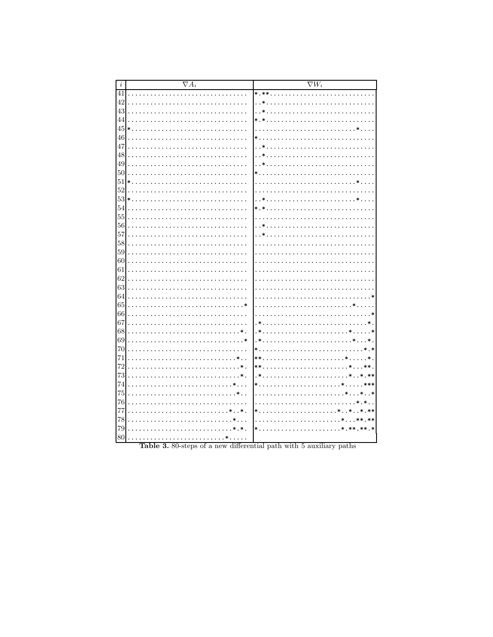| $\it i$  | $\overline{\nabla A_i}$                      | $\nabla W_i$                                                |
|----------|----------------------------------------------|-------------------------------------------------------------|
| 41       |                                              | $*.**$                                                      |
| 42       | $\ddot{\phantom{0}}$                         | $\cdot$ . $*$<br>.                                          |
| 43       |                                              | $\ast$                                                      |
| 44       | $\ddot{\phantom{0}}$                         | $*.*$                                                       |
| 45       | $\ast$                                       | $\ddot{\phantom{0}}$                                        |
| 46       |                                              | $\ast$ .                                                    |
| 47       |                                              | . . *                                                       |
| 48       | $\ddot{\phantom{0}}$                         |                                                             |
| 49       | $\ddot{\phantom{0}}$                         | $\ast$                                                      |
| 50       | $\overline{a}$                               | $\ast$ .                                                    |
| 51       | $\ast$ .                                     | $\ddot{\phantom{a}}$<br>$\ldots$ .<br>$\ddot{\phantom{a}}$  |
| 52       |                                              |                                                             |
| 53       | $\ast$ .                                     | $\ast$                                                      |
| 54       | $\ddot{\phantom{0}}$                         | $* *$                                                       |
| $55\,$   | $\overline{a}$                               | $\ddot{\phantom{0}}$                                        |
| 56       | .                                            | $\ast$<br>$\ddot{\phantom{0}}$                              |
| 57       |                                              | . . *                                                       |
| 58       | $\ddot{\phantom{0}}$                         |                                                             |
| 59       | $\ddot{\phantom{0}}$                         |                                                             |
| 60       | $\ddot{\phantom{0}}$                         |                                                             |
| 61       | $\ddot{\phantom{0}}$                         | .                                                           |
| 62       | $\ddot{\phantom{a}}$                         | .                                                           |
| 63       |                                              |                                                             |
| 64       | $\ddot{\phantom{a}}$                         | $\ast$                                                      |
| 65       | $\ast$<br>$\ddot{\phantom{a}}$               |                                                             |
| 66       | $\ddot{\phantom{0}}$                         | . ∗<br>$\ddot{\phantom{0}}$                                 |
| 67       |                                              | $^{\ast}$<br>$\ast$<br>dia a dia a dia a di                 |
| 68       | $\ddot{\phantom{a}}$<br>$\ast$               | $\cdot$<br>. . *<br>$\ast$                                  |
| 69<br>70 | $\ddot{\phantom{a}}$                         | $\cdot$<br>$\ast$ .<br>$*$ .*                               |
| 71       | $\ddot{\phantom{0}}$<br>$\mathbf{r}$         | a a a a<br>$**$<br>dia analara di<br>$\ast$                 |
| 72       | $\ddot{\phantom{0}}$                         | $**$<br>.                                                   |
| 73       | $\ddot{\phantom{0}}$                         | $, *$<br>.**                                                |
| 74       | $\ddot{\phantom{a}}$<br>$\ddot{\phantom{a}}$ | $\ast$ .<br>***                                             |
| 75       | $\mathbf{r}$<br>$\overline{a}$               | $*$ . $*$<br>$\ddot{\phantom{a}}$                           |
| 76       | $\ddot{\phantom{0}}$                         | $\ast$<br>$\ddot{\phantom{a}}$<br>a a a a a<br>$\mathbf{r}$ |
| 77       | $\ast$<br>$\overline{a}$                     | $*$<br>.**                                                  |
| 78       |                                              | $***$                                                       |
| 79       | $\ast$ .                                     | $\ast$ .<br>$***.*$                                         |
| 80       |                                              |                                                             |
|          |                                              |                                                             |

Table 3. 80-steps of a new differential path with 5 auxiliary paths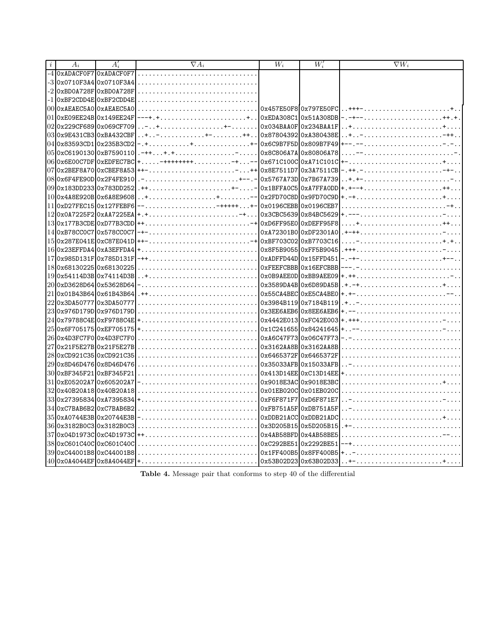| $\it i$ | $A_i$                        | $A_i'$ | $\nabla A_i$                                                                                                      | $W_i$                     | $W_i'$ | $\nabla W_i$  |
|---------|------------------------------|--------|-------------------------------------------------------------------------------------------------------------------|---------------------------|--------|---------------|
|         | -4 OxADACFOF7 OxADACFOF7     |        |                                                                                                                   |                           |        |               |
|         | -3 0x0710F3A4 0x0710F3A4     |        |                                                                                                                   |                           |        |               |
|         | -2 0xBD0A728F 0xBD0A728F     |        |                                                                                                                   |                           |        |               |
| -1      | OxBF2CDD4E OxBF2CDD4E        |        |                                                                                                                   |                           |        |               |
|         | 00 0xAEAEC5A0 0xAEAEC5A0     |        | $\ldots \ldots \ldots \ldots \ldots \ldots \ldots \lceil 0x457E50F8 0x797E50F0 $                                  |                           |        | $. . + + + -$ |
|         | 01 0xE09EE24B 0x149EE24F     |        | $\ldots \ldots \ldots \ldots \ldots \ldots \ldots + \ldots   0xEDA308C1 0x51A308DB$                               |                           |        |               |
|         | 020x229CF6890x069CF709       |        | .                                                                                                                 | Ox034BAA0F Ox234BAA1F     |        |               |
|         | 03 0x9E431CB3 0xBA432CBF     |        | $\ldots \ldots$ ++ 0x87804392 0xA380438E                                                                          |                           |        |               |
|         | 04 0x83593CD1 0x235B3CD2     |        |                                                                                                                   | 0x6C9B7F5D 0x809B7F49     |        |               |
|         | 05 0xC6190130 0xB7590110     |        |                                                                                                                   | 0x8C806A7A 0x80806A78     |        |               |
|         | 06 0x6E00C7DF 0xEDFEC7BC     |        |                                                                                                                   | 0x671C100C 0xA71C101C     |        |               |
|         | 070x2BEF8A700xCBEF8A53       |        | .                                                                                                                 | 0x8E7511D70x3A7511CB      |        |               |
|         | 08 0x6F4FE90D 0x2F4FE910     |        |                                                                                                                   | 0x5767A73D 0x7B67A739     |        |               |
|         | 09 0x183DD233 0x783DD252     |        | .                                                                                                                 | $-$ 0x1BFFA0C5 0xA7FFA0DD |        |               |
|         | 10 0x4A8E920B 0x6A8E9608     |        |                                                                                                                   | $0x2FD70C8D10x9FD70C9D+$  |        |               |
|         | 11 0xD27FEC15 0x127FEBF6     |        | .                                                                                                                 | 0x0196CEBB 0x0196CEB7     |        |               |
|         | 12 0x0A7225F2 0xAA7225EA     |        |                                                                                                                   | 0x3CBC5639 0x84BC5629     |        |               |
|         | 13 0x 177B3CDE 0xD77B3CDD ++ |        |                                                                                                                   | 0xD6FF95E0 0xDEFF95F8     |        |               |
|         | 14 0xB78CC0C7 0x578CC0C7     |        | $\ldots \ldots \ldots \ldots \ldots \ldots \ldots \ldots \ldots \cdot  0 \texttt{xA72301B0 0 \texttt{xDF2301A0} $ |                           |        |               |
|         | 15 0x287E041E 0xC87E041D ++  |        | -+ 0xBF703C02 0xB7703C16                                                                                          |                           |        |               |
|         | 16 0x23EFFDA4 0xA3EFFDA4     |        |                                                                                                                   |                           |        |               |
|         | 17 0x985D131F 0x785D131F     |        |                                                                                                                   |                           |        |               |
|         | 18 0x68130225 0x68130225     |        |                                                                                                                   | OXFEEFCBBB 0x16EFCBBB     |        |               |
|         | 19 0x54114D3B 0x74114D3B     |        |                                                                                                                   | $0x0B9AEE0D0xBB9AEE09 +$  |        |               |
|         | 20 0xD3628D64 0x53628D64     |        |                                                                                                                   | 0x3589DA4B 0x6D89DA5B     |        |               |
|         | 21 0x01B43B64 0x61B43B64     |        |                                                                                                                   | 0x55CA4BEC 0xE5CA4BE0     |        |               |
|         | 22 0x3DA50777 0x3DA50777     |        |                                                                                                                   | 0x3984B119 0x7184B119     |        |               |
|         | 23 0x976D179D 0x976D179D     |        |                                                                                                                   | 0x3EE6AEB6 0x8EE6AEB6     |        |               |
|         | 24 0x79788C4E 0xF9788C4E     |        |                                                                                                                   | 0x4442E013 0xFC42E003     |        |               |
|         | 25 0x6F705175 0xEF705175     |        |                                                                                                                   | 0x1C241655 0x84241645     |        |               |
|         | 26 0x4D3FC7F0 0x4D3FC7F0     |        |                                                                                                                   | 0x46C47F730x06C47F73      |        |               |
|         | 27 0x21F5E27B 0x21F5E27B     |        |                                                                                                                   | 0x3162AA8B 0x3162AA8B     |        |               |
|         | 28 0xCD921C35 0xCD921C35     |        |                                                                                                                   | 0x6465372F 0x6465372F     |        |               |
|         | 29 0x8D46D476 0x8D46D476     |        |                                                                                                                   | 0x35033AFB 0x15033AFB     |        |               |
|         | 30 0xBF345F21 0xBF345F21     |        |                                                                                                                   | 0x413D14EE 0xC13D14EE     |        |               |
|         | 31 0xE05202A7 0x605202A7     |        |                                                                                                                   | 0x9018E3AC 0x9018E3BC     |        |               |
|         | 32 0x40B20A18 0x40B20A18     |        |                                                                                                                   | 0x01EB020C 0x01EB020C     |        |               |
|         | 33 0x27395834 0xA7395834     |        |                                                                                                                   | 0xF6F871F7 0xD6F871E7     |        |               |
|         | 34 0xC7BAB6B2 0xC7BAB6B2     |        |                                                                                                                   | OxFB751A5F OxDB751A5F     |        |               |
|         | 35 0xA0744E3B 0x20744E3B     |        | $\ldots \ldots \ldots \ldots \ldots \ldots \ldots \lceil 0 \texttt{xDDB21ACC}   0 \texttt{xDDB21ADC}$             |                           |        |               |
|         | 36 0x3182B0C3 0x3182B0C3     |        |                                                                                                                   | 0x3D205B15 0x5D205B15     |        |               |
|         | 37 0x04D1973C 0xC4D1973C     |        |                                                                                                                   | 0x4AB58BFD 0x4AB58BE5     |        |               |
|         | 38 0xC601C40C 0xC601C40C     |        |                                                                                                                   | 0xC292BE51 0x2292BE51     |        |               |
|         | 39 0xC44001B8 0xC44001B8     |        |                                                                                                                   | 0x1FF400B5 0x8FF400B5     |        |               |
|         | 40 0x0A4044EF 0x8A4044EF     |        |                                                                                                                   | 0x53B02D230x63B02D33      |        | $+ -$ +       |

Table 4. Message pair that conforms to step 40 of the differential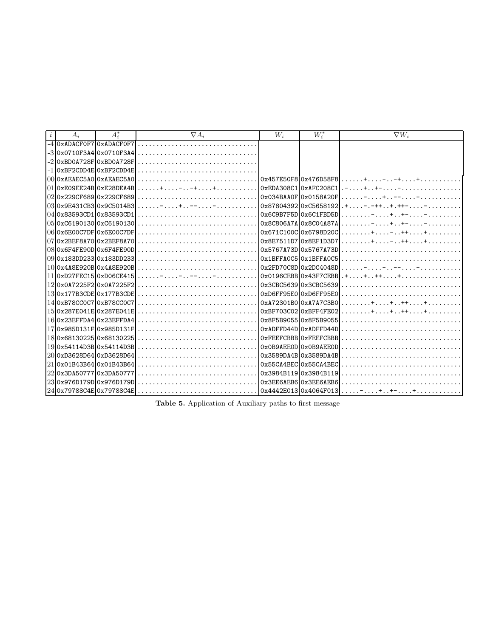| $\dot{i}$ | $A_i$                    | $A_i^*$                          | $\nabla A_i$                            | $W_i$                 | $W^*$ | $\nabla W_i$                                                                                       |
|-----------|--------------------------|----------------------------------|-----------------------------------------|-----------------------|-------|----------------------------------------------------------------------------------------------------|
|           | -4 0xADACF0F7 0xADACF0F7 |                                  |                                         |                       |       |                                                                                                    |
|           |                          |                                  | $-30x0710F3A40x0710F3A41$               |                       |       |                                                                                                    |
|           |                          | $-2$ $0x$ BD0A728F $0x$ BD0A728F |                                         |                       |       |                                                                                                    |
|           |                          |                                  | $-1$  0xBF2CDD4E 0xBF2CDD4E             |                       |       |                                                                                                    |
|           |                          |                                  |                                         |                       |       |                                                                                                    |
|           |                          |                                  |                                         |                       |       | $ +$ $+ -$                                                                                         |
|           |                          |                                  |                                         |                       |       |                                                                                                    |
|           |                          |                                  |                                         |                       |       |                                                                                                    |
|           |                          |                                  |                                         |                       |       |                                                                                                    |
|           |                          |                                  |                                         |                       |       | . <del>.</del> <b>+ .</b> . <b>+ .</b> <del>.</del>                                                |
|           |                          |                                  |                                         |                       |       |                                                                                                    |
|           |                          |                                  |                                         |                       |       |                                                                                                    |
|           |                          |                                  |                                         |                       |       |                                                                                                    |
|           |                          |                                  |                                         | 0x1BFFA0C5 0x1BFFA0C5 |       |                                                                                                    |
|           |                          |                                  |                                         |                       |       | 1000x448E920B0x448E920B1                                                                           |
|           |                          |                                  | $11 0xD27FEC15 0xD06CE415 $ - - - - - - |                       |       | $\lceil 0x0196CEBB \rceil 0x43F7CEBB \rceil + \ldots + \ldots + \ldots + \ldots + \ldots + \ldots$ |
|           |                          |                                  |                                         |                       |       |                                                                                                    |
|           |                          | $13$ 0x177B3CDE 0x177B3CDE       |                                         |                       |       |                                                                                                    |
|           |                          |                                  |                                         |                       |       |                                                                                                    |
|           |                          |                                  | 15 0x287E041E 0x287E041E                |                       |       |                                                                                                    |
|           |                          |                                  | 160x23EFFDA4 0x23EFFDA4                 |                       |       |                                                                                                    |
|           |                          |                                  | 170x985D131F0x985D131F1                 |                       |       |                                                                                                    |
|           |                          |                                  |                                         |                       |       |                                                                                                    |
|           |                          |                                  | 19 0x54114D3B 0x54114D3B                |                       |       |                                                                                                    |
|           |                          |                                  |                                         |                       |       | 20 0xD3628D64 0xD3628D64                                                                           |
|           |                          |                                  |                                         |                       |       |                                                                                                    |
|           | 22 0x3DA50777 0x3DA50777 |                                  |                                         |                       |       |                                                                                                    |
|           |                          | 23 0x976D179D 0x976D179D         |                                         |                       |       |                                                                                                    |
|           |                          |                                  |                                         |                       |       |                                                                                                    |

Table 5. Application of Auxiliary paths to first message